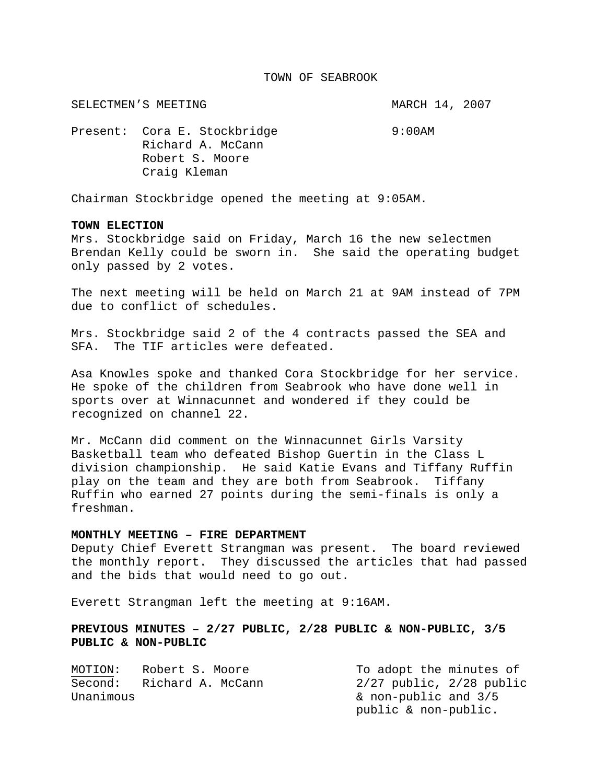#### TOWN OF SEABROOK

SELECTMEN'S MEETING **MARCH 14, 2007** 

Present: Cora E. Stockbridge 9:00AM Richard A. McCann Robert S. Moore Craig Kleman

Chairman Stockbridge opened the meeting at 9:05AM.

## **TOWN ELECTION**

Mrs. Stockbridge said on Friday, March 16 the new selectmen Brendan Kelly could be sworn in. She said the operating budget only passed by 2 votes.

The next meeting will be held on March 21 at 9AM instead of 7PM due to conflict of schedules.

Mrs. Stockbridge said 2 of the 4 contracts passed the SEA and SFA. The TIF articles were defeated.

Asa Knowles spoke and thanked Cora Stockbridge for her service. He spoke of the children from Seabrook who have done well in sports over at Winnacunnet and wondered if they could be recognized on channel 22.

Mr. McCann did comment on the Winnacunnet Girls Varsity Basketball team who defeated Bishop Guertin in the Class L division championship. He said Katie Evans and Tiffany Ruffin play on the team and they are both from Seabrook. Tiffany Ruffin who earned 27 points during the semi-finals is only a freshman.

# **MONTHLY MEETING – FIRE DEPARTMENT**

Deputy Chief Everett Strangman was present. The board reviewed the monthly report. They discussed the articles that had passed and the bids that would need to go out.

Everett Strangman left the meeting at 9:16AM.

# **PREVIOUS MINUTES – 2/27 PUBLIC, 2/28 PUBLIC & NON-PUBLIC, 3/5 PUBLIC & NON-PUBLIC**

| MOTION:   | Robert S. Moore   | To adopt the minutes of      |
|-----------|-------------------|------------------------------|
| Second:   | Richard A. McCann | $2/27$ public, $2/28$ public |
| Unanimous |                   | & non-public and 3/5         |
|           |                   | public & non-public.         |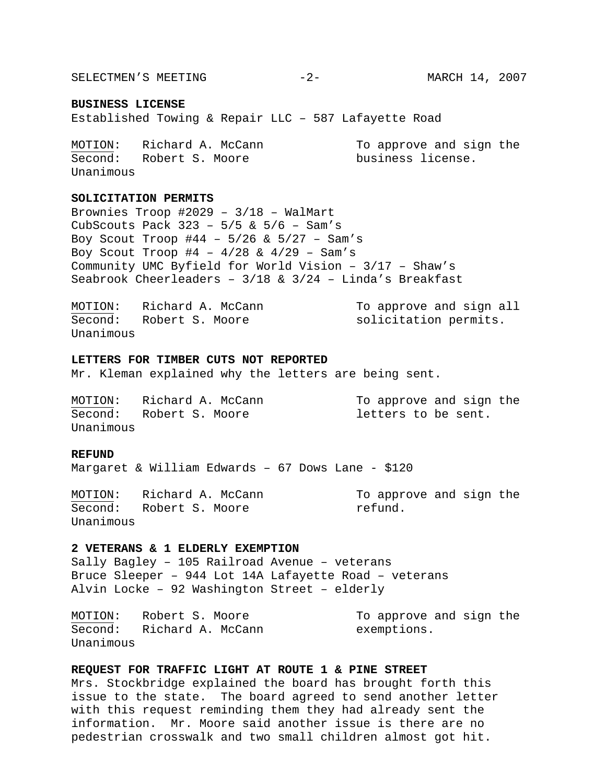SELECTMEN'S MEETING -2- ARRCH 14, 2007

#### **BUSINESS LICENSE**

Established Towing & Repair LLC – 587 Lafayette Road

| MOTION:   | Richard A. McCann | To approve and sign the |
|-----------|-------------------|-------------------------|
| Second:   | Robert S. Moore   | business license.       |
| Unanimous |                   |                         |

### **SOLICITATION PERMITS**

Brownies Troop #2029 – 3/18 – WalMart CubScouts Pack  $323 - 5/5$  &  $5/6 -$  Sam's Boy Scout Troop #44 – 5/26 & 5/27 – Sam's Boy Scout Troop  $#4 - 4/28 \& 4/29 - Sam's$ Community UMC Byfield for World Vision – 3/17 – Shaw's Seabrook Cheerleaders – 3/18 & 3/24 – Linda's Breakfast

| MOTION:   | Richard A. McCann | To approve and sign all |
|-----------|-------------------|-------------------------|
| Second:   | Robert S. Moore   | solicitation permits.   |
| Unanimous |                   |                         |

#### **LETTERS FOR TIMBER CUTS NOT REPORTED**

Mr. Kleman explained why the letters are being sent.

MOTION: Richard A. McCann To approve and sign the Second: Robert S. Moore and letters to be sent. Unanimous

## **REFUND**

Margaret & William Edwards – 67 Dows Lane - \$120

MOTION: Richard A. McCann To approve and sign the Second: Robert S. Moore The Robert Second. Unanimous

#### **2 VETERANS & 1 ELDERLY EXEMPTION**

Sally Bagley – 105 Railroad Avenue – veterans Bruce Sleeper – 944 Lot 14A Lafayette Road – veterans Alvin Locke – 92 Washington Street – elderly

MOTION: Robert S. Moore To approve and sign the Second: Richard A. McCann exemptions. Unanimous

# **REQUEST FOR TRAFFIC LIGHT AT ROUTE 1 & PINE STREET**

Mrs. Stockbridge explained the board has brought forth this issue to the state. The board agreed to send another letter with this request reminding them they had already sent the information. Mr. Moore said another issue is there are no pedestrian crosswalk and two small children almost got hit.